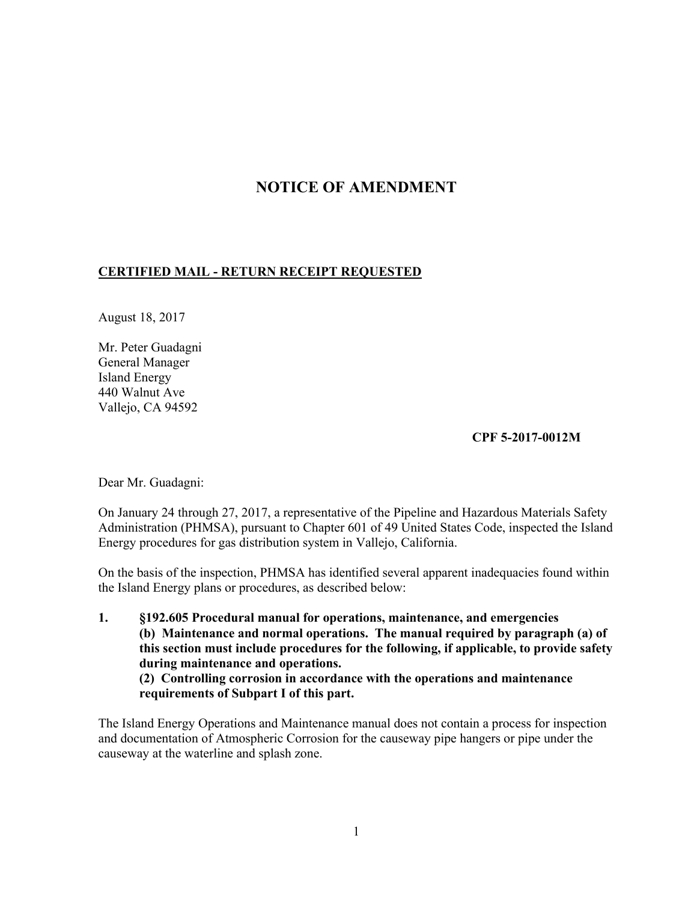## **NOTICE OF AMENDMENT**

## **CERTIFIED MAIL - RETURN RECEIPT REQUESTED**

August 18, 2017

Mr. Peter Guadagni General Manager Island Energy 440 Walnut Ave Vallejo, CA 94592

## **CPF 5-2017-0012M**

Dear Mr. Guadagni:

On January 24 through 27, 2017, a representative of the Pipeline and Hazardous Materials Safety Administration (PHMSA), pursuant to Chapter 601 of 49 United States Code, inspected the Island Energy procedures for gas distribution system in Vallejo, California.

On the basis of the inspection, PHMSA has identified several apparent inadequacies found within the Island Energy plans or procedures, as described below:

**1. §192.605 Procedural manual for operations, maintenance, and emergencies (b) Maintenance and normal operations. The manual required by paragraph (a) of this section must include procedures for the following, if applicable, to provide safety during maintenance and operations. (2) Controlling corrosion in accordance with the operations and maintenance requirements of Subpart I of this part.** 

The Island Energy Operations and Maintenance manual does not contain a process for inspection and documentation of Atmospheric Corrosion for the causeway pipe hangers or pipe under the causeway at the waterline and splash zone.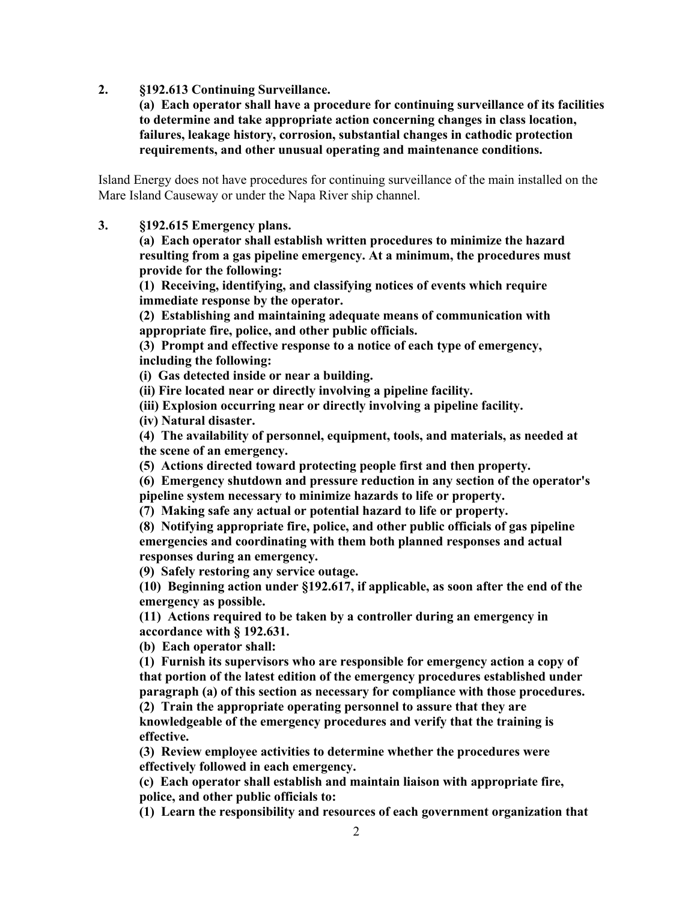**2. §192.613 Continuing Surveillance.** 

 **(a) Each operator shall have a procedure for continuing surveillance of its facilities to determine and take appropriate action concerning changes in class location, failures, leakage history, corrosion, substantial changes in cathodic protection requirements, and other unusual operating and maintenance conditions.** 

Island Energy does not have procedures for continuing surveillance of the main installed on the Mare Island Causeway or under the Napa River ship channel.

**3. §192.615 Emergency plans.** 

 **(a) Each operator shall establish written procedures to minimize the hazard resulting from a gas pipeline emergency. At a minimum, the procedures must provide for the following:** 

**(1) Receiving, identifying, and classifying notices of events which require immediate response by the operator.** 

**(2) Establishing and maintaining adequate means of communication with appropriate fire, police, and other public officials.** 

**(3) Prompt and effective response to a notice of each type of emergency, including the following:** 

 **(i) Gas detected inside or near a building.** 

 **(ii) Fire located near or directly involving a pipeline facility.** 

 **(iii) Explosion occurring near or directly involving a pipeline facility.** 

 **(iv) Natural disaster.** 

**(4) The availability of personnel, equipment, tools, and materials, as needed at the scene of an emergency.** 

**(5) Actions directed toward protecting people first and then property.** 

**(6) Emergency shutdown and pressure reduction in any section of the operator's pipeline system necessary to minimize hazards to life or property.** 

**(7) Making safe any actual or potential hazard to life or property.** 

**(8) Notifying appropriate fire, police, and other public officials of gas pipeline emergencies and coordinating with them both planned responses and actual responses during an emergency.** 

**(9) Safely restoring any service outage.** 

**(10) Beginning action under §192.617, if applicable, as soon after the end of the emergency as possible.** 

**(11) Actions required to be taken by a controller during an emergency in accordance with § 192.631.** 

**(b) Each operator shall:** 

**(1) Furnish its supervisors who are responsible for emergency action a copy of that portion of the latest edition of the emergency procedures established under paragraph (a) of this section as necessary for compliance with those procedures. (2) Train the appropriate operating personnel to assure that they are** 

**knowledgeable of the emergency procedures and verify that the training is effective.** 

**(3) Review employee activities to determine whether the procedures were effectively followed in each emergency.** 

**(c) Each operator shall establish and maintain liaison with appropriate fire, police, and other public officials to:** 

**(1) Learn the responsibility and resources of each government organization that**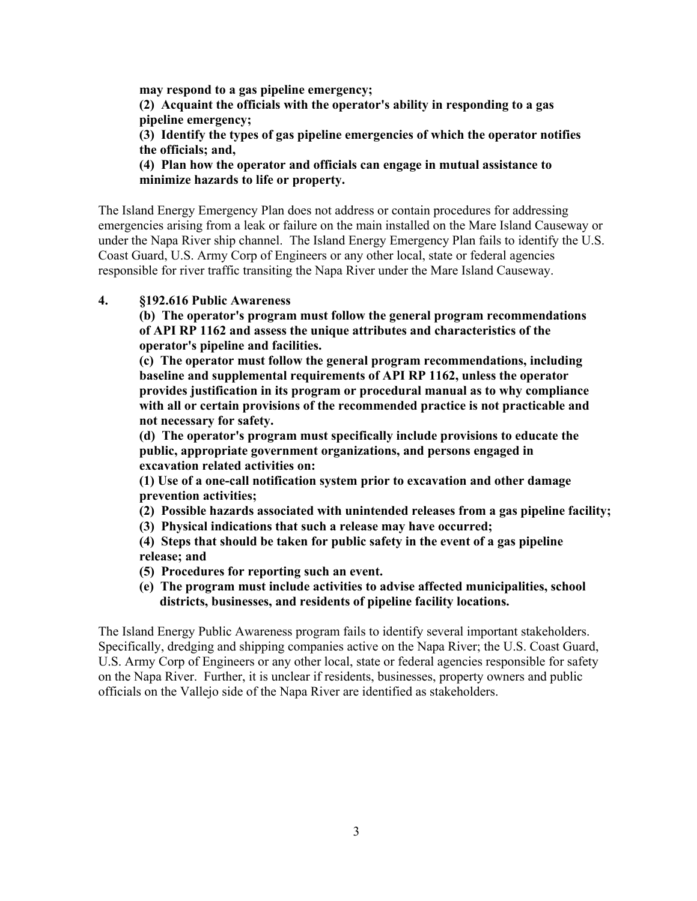**may respond to a gas pipeline emergency; (2) Acquaint the officials with the operator's ability in responding to a gas pipeline emergency; (3) Identify the types of gas pipeline emergencies of which the operator notifies the officials; and,** 

**(4) Plan how the operator and officials can engage in mutual assistance to minimize hazards to life or property.** 

The Island Energy Emergency Plan does not address or contain procedures for addressing emergencies arising from a leak or failure on the main installed on the Mare Island Causeway or under the Napa River ship channel. The Island Energy Emergency Plan fails to identify the U.S. Coast Guard, U.S. Army Corp of Engineers or any other local, state or federal agencies responsible for river traffic transiting the Napa River under the Mare Island Causeway.

**4. §192.616 Public Awareness** 

**(b) The operator's program must follow the general program recommendations of API RP 1162 and assess the unique attributes and characteristics of the operator's pipeline and facilities.** 

**(c) The operator must follow the general program recommendations, including baseline and supplemental requirements of API RP 1162, unless the operator provides justification in its program or procedural manual as to why compliance with all or certain provisions of the recommended practice is not practicable and not necessary for safety.** 

**(d) The operator's program must specifically include provisions to educate the public, appropriate government organizations, and persons engaged in excavation related activities on:** 

**(1) Use of a one-call notification system prior to excavation and other damage prevention activities;** 

- **(2) Possible hazards associated with unintended releases from a gas pipeline facility;**
- **(3) Physical indications that such a release may have occurred;**

 **(4) Steps that should be taken for public safety in the event of a gas pipeline release; and** 

 **(5) Procedures for reporting such an event.** 

**(e) The program must include activities to advise affected municipalities, school districts, businesses, and residents of pipeline facility locations.** 

The Island Energy Public Awareness program fails to identify several important stakeholders. Specifically, dredging and shipping companies active on the Napa River; the U.S. Coast Guard, U.S. Army Corp of Engineers or any other local, state or federal agencies responsible for safety on the Napa River. Further, it is unclear if residents, businesses, property owners and public officials on the Vallejo side of the Napa River are identified as stakeholders.